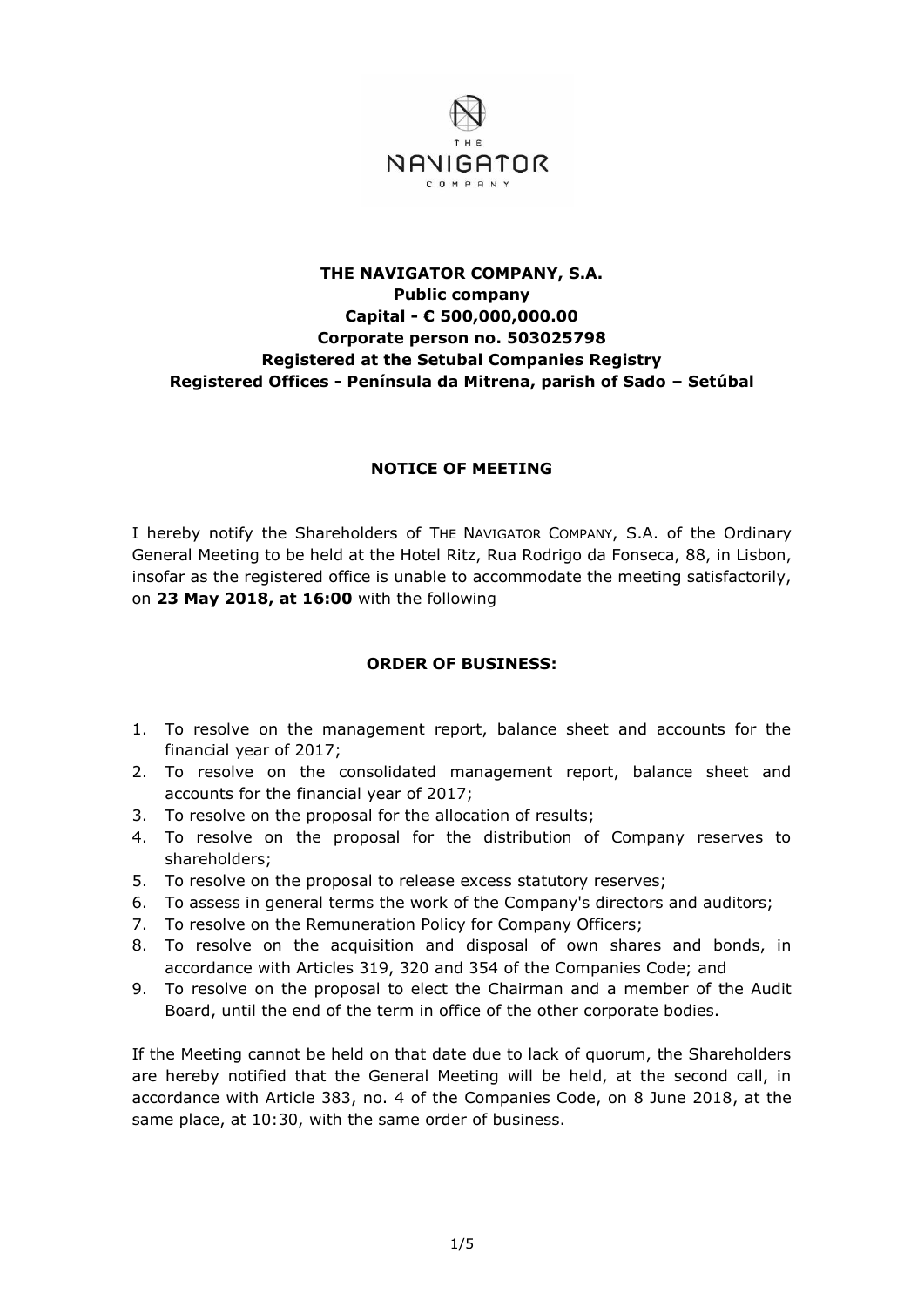

## **THE NAVIGATOR COMPANY, S.A. Public company Capital - € 500,000,000.00 Corporate person no. 503025798 Registered at the Setubal Companies Registry Registered Offices - Península da Mitrena, parish of Sado – Setúbal**

## **NOTICE OF MEETING**

I hereby notify the Shareholders of THE NAVIGATOR COMPANY, S.A. of the Ordinary General Meeting to be held at the Hotel Ritz, Rua Rodrigo da Fonseca, 88, in Lisbon, insofar as the registered office is unable to accommodate the meeting satisfactorily, on **23 May 2018, at 16:00** with the following

## **ORDER OF BUSINESS:**

- 1. To resolve on the management report, balance sheet and accounts for the financial year of 2017;
- 2. To resolve on the consolidated management report, balance sheet and accounts for the financial year of 2017;
- 3. To resolve on the proposal for the allocation of results;
- 4. To resolve on the proposal for the distribution of Company reserves to shareholders;
- 5. To resolve on the proposal to release excess statutory reserves;
- 6. To assess in general terms the work of the Company's directors and auditors;
- 7. To resolve on the Remuneration Policy for Company Officers;
- 8. To resolve on the acquisition and disposal of own shares and bonds, in accordance with Articles 319, 320 and 354 of the Companies Code; and
- 9. To resolve on the proposal to elect the Chairman and a member of the Audit Board, until the end of the term in office of the other corporate bodies.

If the Meeting cannot be held on that date due to lack of quorum, the Shareholders are hereby notified that the General Meeting will be held, at the second call, in accordance with Article 383, no. 4 of the Companies Code, on 8 June 2018, at the same place, at 10:30, with the same order of business.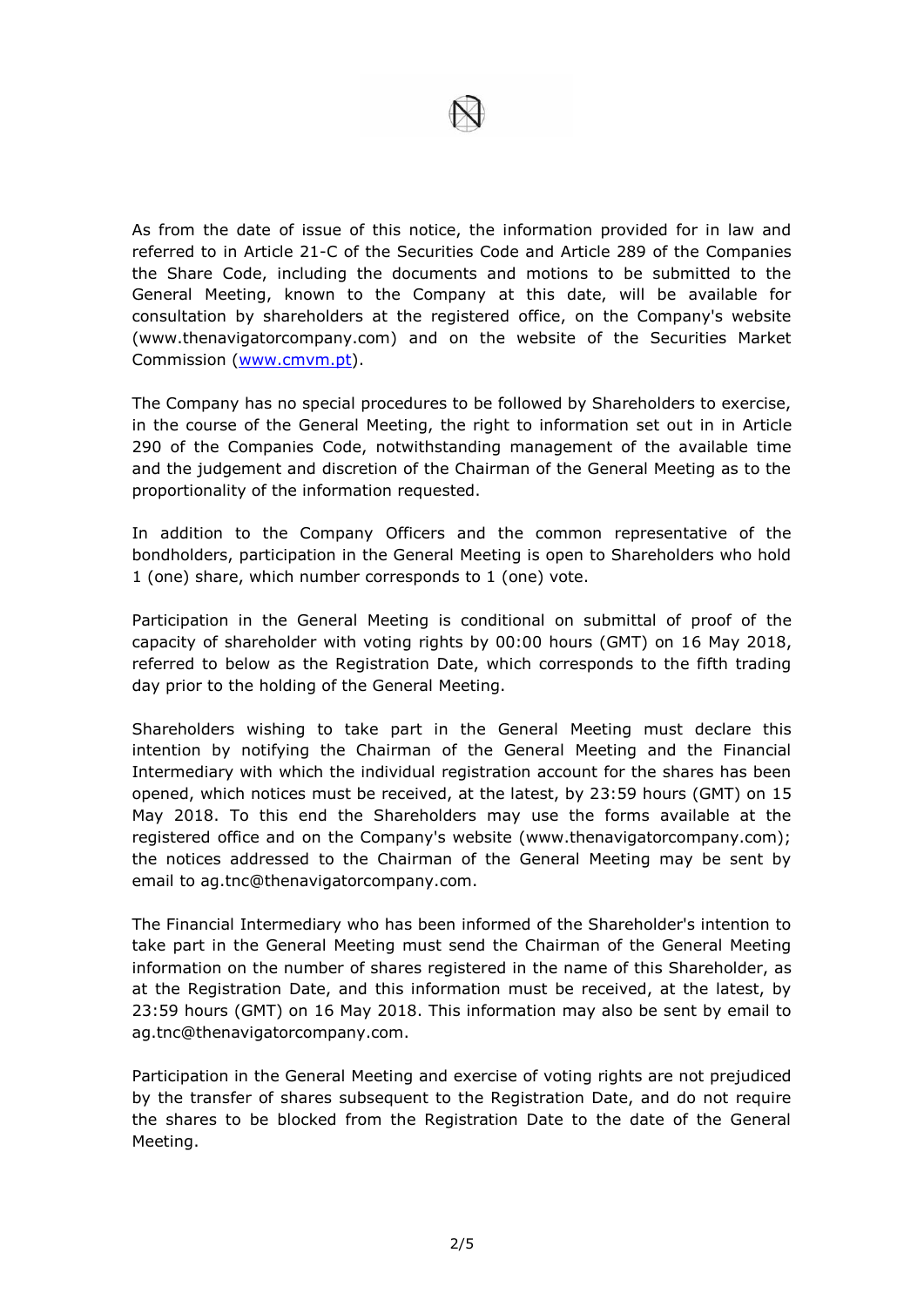

As from the date of issue of this notice, the information provided for in law and referred to in Article 21-C of the Securities Code and Article 289 of the Companies the Share Code, including the documents and motions to be submitted to the General Meeting, known to the Company at this date, will be available for consultation by shareholders at the registered office, on the Company's website (www.thenavigatorcompany.com) and on the website of the Securities Market Commission [\(www.cmvm.pt\)](http://www.cmvm.pt/).

The Company has no special procedures to be followed by Shareholders to exercise, in the course of the General Meeting, the right to information set out in in Article 290 of the Companies Code, notwithstanding management of the available time and the judgement and discretion of the Chairman of the General Meeting as to the proportionality of the information requested.

In addition to the Company Officers and the common representative of the bondholders, participation in the General Meeting is open to Shareholders who hold 1 (one) share, which number corresponds to 1 (one) vote.

Participation in the General Meeting is conditional on submittal of proof of the capacity of shareholder with voting rights by 00:00 hours (GMT) on 16 May 2018, referred to below as the Registration Date, which corresponds to the fifth trading day prior to the holding of the General Meeting.

Shareholders wishing to take part in the General Meeting must declare this intention by notifying the Chairman of the General Meeting and the Financial Intermediary with which the individual registration account for the shares has been opened, which notices must be received, at the latest, by 23:59 hours (GMT) on 15 May 2018. To this end the Shareholders may use the forms available at the registered office and on the Company's website (www.thenavigatorcompany.com); the notices addressed to the Chairman of the General Meeting may be sent by email to ag.tnc@thenavigatorcompany.com.

The Financial Intermediary who has been informed of the Shareholder's intention to take part in the General Meeting must send the Chairman of the General Meeting information on the number of shares registered in the name of this Shareholder, as at the Registration Date, and this information must be received, at the latest, by 23:59 hours (GMT) on 16 May 2018. This information may also be sent by email to ag.tnc@thenavigatorcompany.com.

Participation in the General Meeting and exercise of voting rights are not prejudiced by the transfer of shares subsequent to the Registration Date, and do not require the shares to be blocked from the Registration Date to the date of the General Meeting.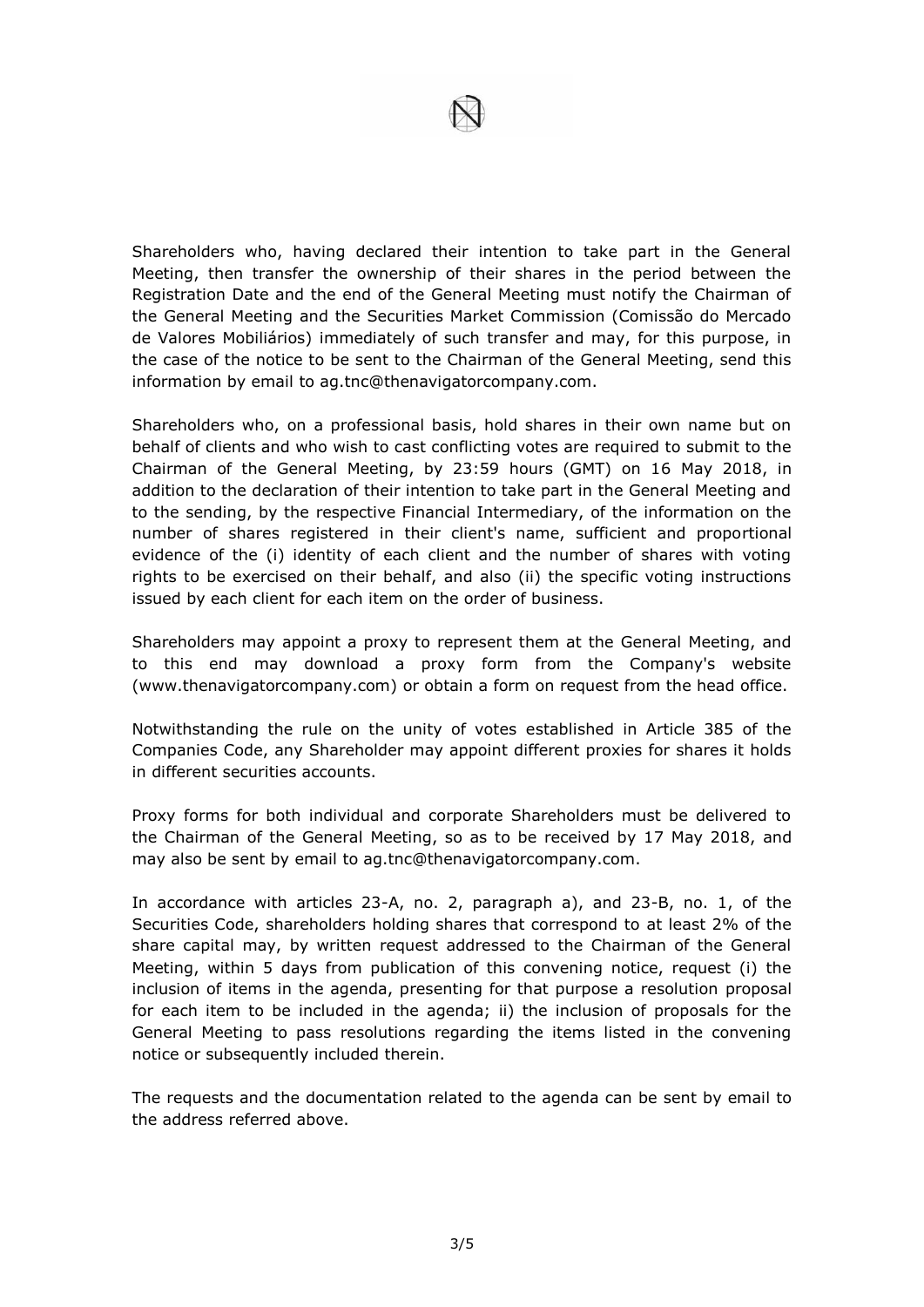Shareholders who, having declared their intention to take part in the General Meeting, then transfer the ownership of their shares in the period between the Registration Date and the end of the General Meeting must notify the Chairman of the General Meeting and the Securities Market Commission (Comissão do Mercado de Valores Mobiliários) immediately of such transfer and may, for this purpose, in the case of the notice to be sent to the Chairman of the General Meeting, send this information by email to ag.tnc@thenavigatorcompany.com.

Shareholders who, on a professional basis, hold shares in their own name but on behalf of clients and who wish to cast conflicting votes are required to submit to the Chairman of the General Meeting, by 23:59 hours (GMT) on 16 May 2018, in addition to the declaration of their intention to take part in the General Meeting and to the sending, by the respective Financial Intermediary, of the information on the number of shares registered in their client's name, sufficient and proportional evidence of the (i) identity of each client and the number of shares with voting rights to be exercised on their behalf, and also (ii) the specific voting instructions issued by each client for each item on the order of business.

Shareholders may appoint a proxy to represent them at the General Meeting, and to this end may download a proxy form from the Company's website (www.thenavigatorcompany.com) or obtain a form on request from the head office.

Notwithstanding the rule on the unity of votes established in Article 385 of the Companies Code, any Shareholder may appoint different proxies for shares it holds in different securities accounts.

Proxy forms for both individual and corporate Shareholders must be delivered to the Chairman of the General Meeting, so as to be received by 17 May 2018, and may also be sent by email to ag.tnc@thenavigatorcompany.com.

In accordance with articles 23-A, no. 2, paragraph a), and 23-B, no. 1, of the Securities Code, shareholders holding shares that correspond to at least 2% of the share capital may, by written request addressed to the Chairman of the General Meeting, within 5 days from publication of this convening notice, request (i) the inclusion of items in the agenda, presenting for that purpose a resolution proposal for each item to be included in the agenda; ii) the inclusion of proposals for the General Meeting to pass resolutions regarding the items listed in the convening notice or subsequently included therein.

The requests and the documentation related to the agenda can be sent by email to the address referred above.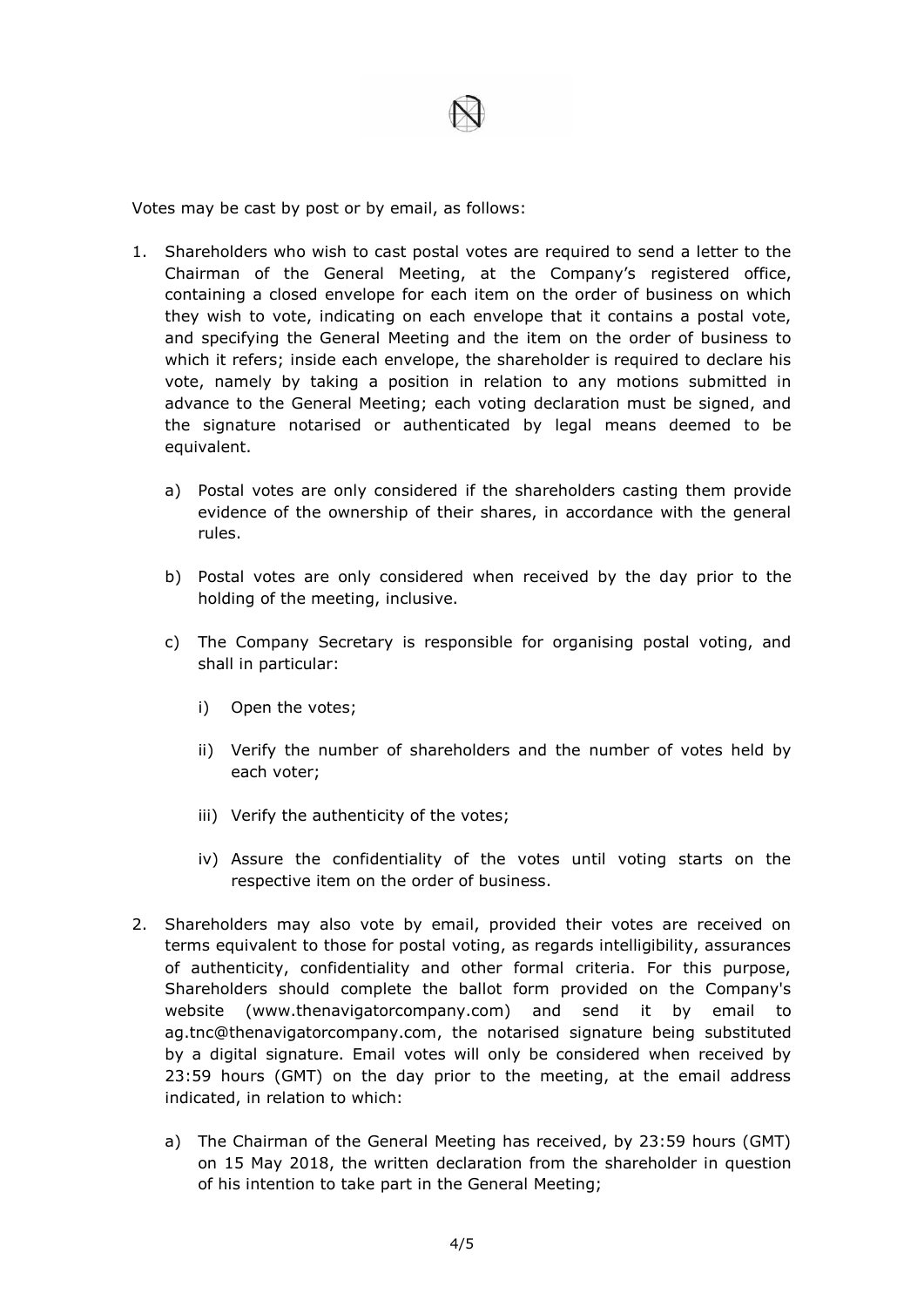

Votes may be cast by post or by email, as follows:

- 1. Shareholders who wish to cast postal votes are required to send a letter to the Chairman of the General Meeting, at the Company's registered office, containing a closed envelope for each item on the order of business on which they wish to vote, indicating on each envelope that it contains a postal vote, and specifying the General Meeting and the item on the order of business to which it refers; inside each envelope, the shareholder is required to declare his vote, namely by taking a position in relation to any motions submitted in advance to the General Meeting; each voting declaration must be signed, and the signature notarised or authenticated by legal means deemed to be equivalent.
	- a) Postal votes are only considered if the shareholders casting them provide evidence of the ownership of their shares, in accordance with the general rules.
	- b) Postal votes are only considered when received by the day prior to the holding of the meeting, inclusive.
	- c) The Company Secretary is responsible for organising postal voting, and shall in particular:
		- i) Open the votes;
		- ii) Verify the number of shareholders and the number of votes held by each voter;
		- iii) Verify the authenticity of the votes;
		- iv) Assure the confidentiality of the votes until voting starts on the respective item on the order of business.
- 2. Shareholders may also vote by email, provided their votes are received on terms equivalent to those for postal voting, as regards intelligibility, assurances of authenticity, confidentiality and other formal criteria. For this purpose, Shareholders should complete the ballot form provided on the Company's website (www.thenavigatorcompany.com) and send it by email to ag.tnc@thenavigatorcompany.com, the notarised signature being substituted by a digital signature. Email votes will only be considered when received by 23:59 hours (GMT) on the day prior to the meeting, at the email address indicated, in relation to which:
	- a) The Chairman of the General Meeting has received, by 23:59 hours (GMT) on 15 May 2018, the written declaration from the shareholder in question of his intention to take part in the General Meeting;